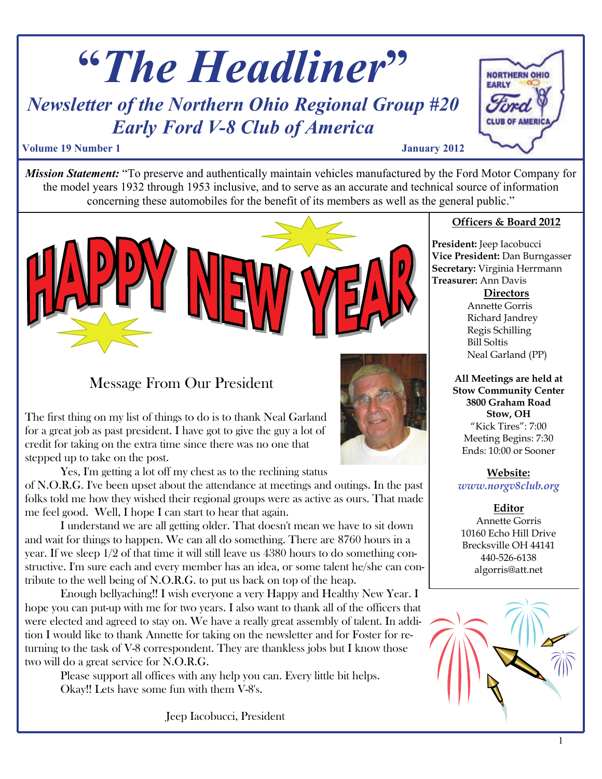





## Message From Our President

The first thing on my list of things to do is to thank Neal Garland for a great job as past president. I have got to give the guy a lot of credit for taking on the extra time since there was no one that stepped up to take on the post.

Yes, I'm getting a lot off my chest as to the reclining status

of N.O.R.G. I've been upset about the attendance at meetings and outings. In the past folks told me how they wished their regional groups were as active as ours. That made me feel good. Well, I hope I can start to hear that again.

I understand we are all getting older. That doesn't mean we have to sit down and wait for things to happen. We can all do something. There are 8760 hours in a year. If we sleep 1/2 of that time it will still leave us 4380 hours to do something constructive. I'm sure each and every member has an idea, or some talent he/she can contribute to the well being of N.O.R.G. to put us back on top of the heap.

Enough bellyaching!! I wish everyone a very Happy and Healthy New Year. I hope you can put-up with me for two years. I also want to thank all of the officers that were elected and agreed to stay on. We have a really great assembly of talent. In addition I would like to thank Annette for taking on the newsletter and for Foster for returning to the task of V-8 correspondent. They are thankless jobs but I know those two will do a great service for N.O.R.G.

Please support all offices with any help you can. Every little bit helps. Okay!! Lets have some fun with them V-8's.

Jeep Iacobucci, President



#### **Officers & Board 2012**

**President:** Jeep Iacobucci **Vice President:** Dan Burngasser **Secretary:** Virginia Herrmann **Treasurer:** Ann Davis

**Directors**

Annette Gorris Richard Jandrey Regis Schilling Bill Soltis Neal Garland (PP)

**All Meetings are held at Stow Community Center 3800 Graham Road Stow, OH**  "Kick Tires": 7:00 Meeting Begins: 7:30 Ends: 10:00 or Sooner

**Website:** *www.norgv8club.org* 

**Editor**

Annette Gorris 10160 Echo Hill Drive Brecksville OH 44141 440-526-6138 algorris@att.net

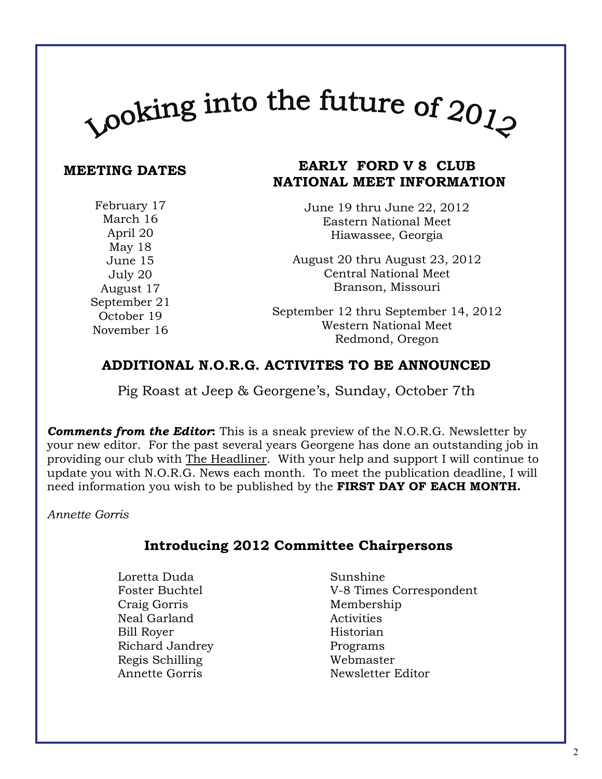# $\mu_{\rm 100}$  and the future of  $20_{J_{\rm 20}}$

#### **MEETING DATES**

### **EARLY FORD V 8 CLUB NATIONAL MEET INFORMATION**

February 17 March 16 April 20 May 18 June 15 July 20 August 17 September 21 October 19 November 16

June 19 thru June 22, 2012 Eastern National Meet Hiawassee, Georgia

August 20 thru August 23, 2012 Central National Meet Branson, Missouri

September 12 thru September 14, 2012 Western National Meet Redmond, Oregon

#### **ADDITIONAL N.O.R.G. ACTIVITES TO BE ANNOUNCED**

Pig Roast at Jeep & Georgene's, Sunday, October 7th

*Comments from the Editor***:** This is a sneak preview of the N.O.R.G. Newsletter by your new editor. For the past several years Georgene has done an outstanding job in providing our club with The Headliner. With your help and support I will continue to update you with N.O.R.G. News each month. To meet the publication deadline, I will need information you wish to be published by the **FIRST DAY OF EACH MONTH.**

*Annette Gorris*

#### **Introducing 2012 Committee Chairpersons**

- Loretta Duda Sunshine Craig Gorris Membership Neal Garland Activities Bill Rover Historian Richard Jandrey Programs Regis Schilling Webmaster
- Foster Buchtel V-8 Times Correspondent Annette Gorris Newsletter Editor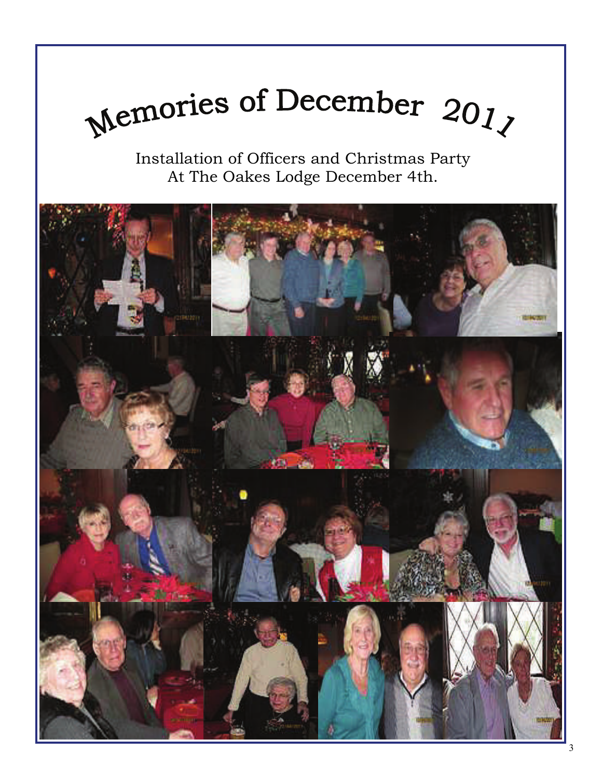

Installation of Officers and Christmas Party At The Oakes Lodge December 4th.